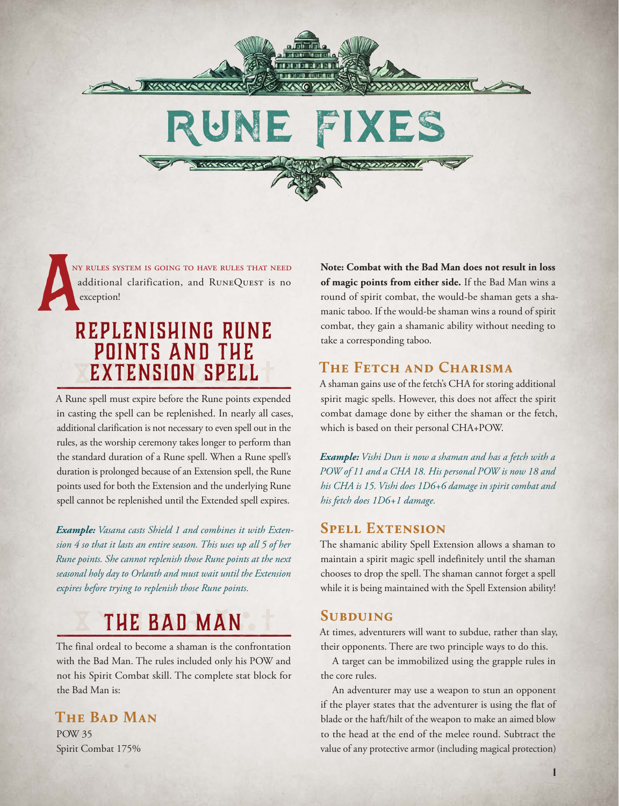

ny rules system is going to have rules that need additional clarification, and RUNEQUEST is no exception!

*RESISTENCE* 

## Replenishing Rune Points and the Extension Spell

A Rune spell must expire before the Rune points expended in casting the spell can be replenished. In nearly all cases, additional clarification is not necessary to even spell out in the rules, as the worship ceremony takes longer to perform than the standard duration of a Rune spell. When a Rune spell's duration is prolonged because of an Extension spell, the Rune points used for both the Extension and the underlying Rune spell cannot be replenished until the Extended spell expires.

*Example: Vasana casts Shield 1 and combines it with Extension 4 so that it lasts an entire season. This uses up all 5 of her Rune points. She cannot replenish those Rune points at the next seasonal holy day to Orlanth and must wait until the Extension expires before trying to replenish those Rune points.*

# The Bad Man

The final ordeal to become a shaman is the confrontation with the Bad Man. The rules included only his POW and not his Spirit Combat skill. The complete stat block for the Bad Man is:

## **The Bad Man**

POW 35 Spirit Combat 175% **Note: Combat with the Bad Man does not result in loss of magic points from either side.** If the Bad Man wins a round of spirit combat, the would-be shaman gets a shamanic taboo. If the would-be shaman wins a round of spirit combat, they gain a shamanic ability without needing to take a corresponding taboo.

### **The Fetch and Charisma**

A shaman gains use of the fetch's CHA for storing additional spirit magic spells. However, this does not affect the spirit combat damage done by either the shaman or the fetch, which is based on their personal CHA+POW.

*Example: Vishi Dun is now a shaman and has a fetch with a POW of 11 and a CHA 18. His personal POW is now 18 and his CHA is 15. Vishi does 1D6+6 damage in spirit combat and his fetch does 1D6+1 damage.*

#### **Spell Extension**

2708080707078

The shamanic ability Spell Extension allows a shaman to maintain a spirit magic spell indefinitely until the shaman chooses to drop the spell. The shaman cannot forget a spell while it is being maintained with the Spell Extension ability!

#### **Subduing**

At times, adventurers will want to subdue, rather than slay, their opponents. There are two principle ways to do this.

A target can be immobilized using the grapple rules in the core rules.

An adventurer may use a weapon to stun an opponent if the player states that the adventurer is using the flat of blade or the haft/hilt of the weapon to make an aimed blow to the head at the end of the melee round. Subtract the value of any protective armor (including magical protection)